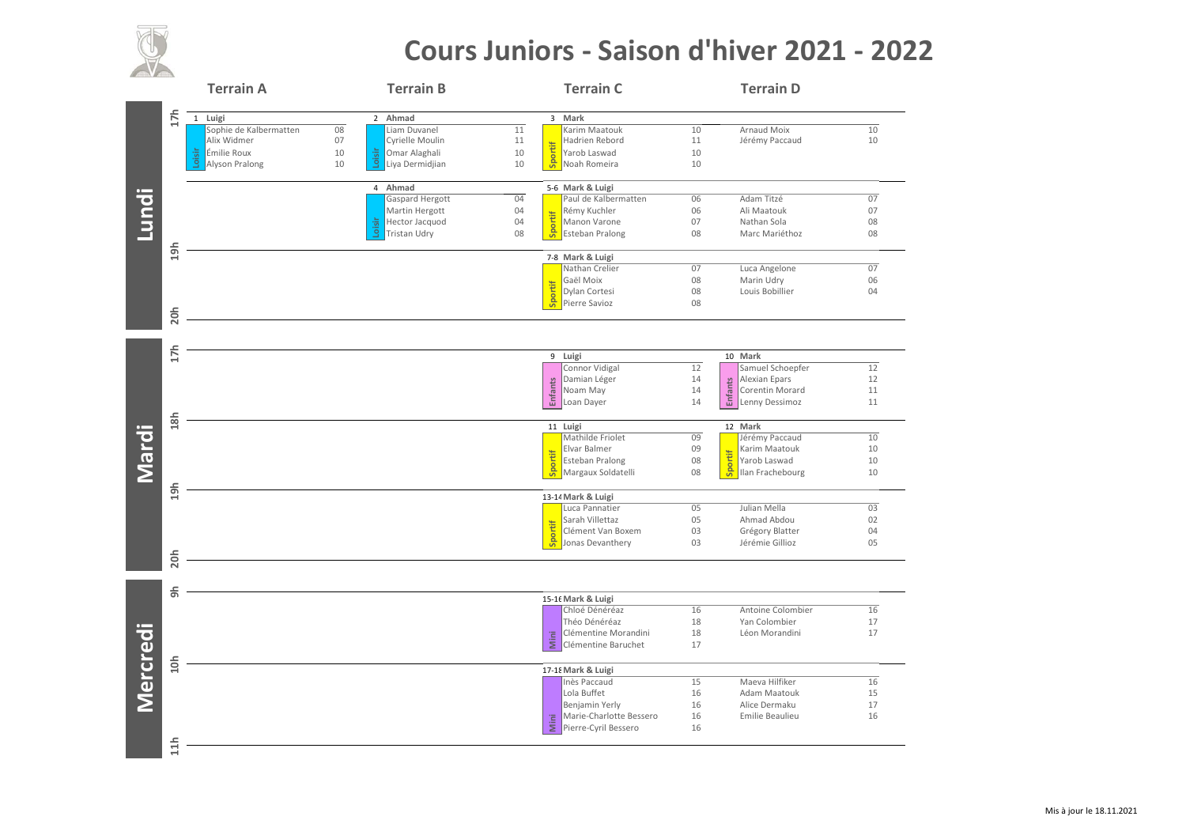

## **Cours Juniors ‐ Saison d'hiver 2021 ‐ 2022**

|              |     | <b>Terrain A</b>       |    | <b>Terrain B</b>         |                 | <b>Terrain C</b>                       |          | <b>Terrain D</b>                  |                 |
|--------------|-----|------------------------|----|--------------------------|-----------------|----------------------------------------|----------|-----------------------------------|-----------------|
|              | 17h | 1 Luigi                |    | 2 Ahmad                  |                 | 3 Mark                                 |          |                                   |                 |
| <b>Lundi</b> |     | Sophie de Kalbermatten | 08 | Liam Duvanel             | $\overline{11}$ | Karim Maatouk                          | 10       | <b>Arnaud Moix</b>                | $\overline{10}$ |
|              |     | Alix Widmer            | 07 | Cyrielle Moulin          | 11              | Hadrien Rebord                         | 11       | Jérémy Paccaud                    | 10              |
|              |     | oisir<br>Émilie Roux   | 10 | Loisir<br>Omar Alaghali  | 10              | Sportif<br>Yarob Laswad                | 10       |                                   |                 |
|              |     | Alyson Pralong         | 10 | Liya Dermidjian          | 10              | Noah Romeira                           | 10       |                                   |                 |
|              |     |                        |    | 4 Ahmad                  |                 | 5-6 Mark & Luigi                       |          |                                   |                 |
|              |     |                        |    | Gaspard Hergott          | 04              | Paul de Kalbermatten                   | 06       | Adam Titzé                        | 07              |
|              |     |                        |    | Martin Hergott           | 04              | Rémy Kuchler<br>ortif                  | 06       | Ali Maatouk                       | 07              |
|              |     |                        |    | Loisir<br>Hector Jacquod | 04              | Manon Varone                           | 07       | Nathan Sola                       | 08              |
|              |     |                        |    | Tristan Udry             | 08              | B Esteban Pralong                      | 08       | Marc Mariéthoz                    | 08              |
|              | 19h |                        |    |                          |                 | 7-8 Mark & Luigi                       |          |                                   |                 |
|              |     |                        |    |                          |                 | Nathan Crelier                         | 07       | Luca Angelone                     | 07              |
|              |     |                        |    |                          |                 | Gaël Moix                              | 08       | Marin Udry                        | 06              |
|              |     |                        |    |                          |                 | Sportif<br>Dylan Cortesi               | 08       | Louis Bobillier                   | 04              |
|              | 20h |                        |    |                          |                 | Pierre Savioz                          | 08       |                                   |                 |
|              |     |                        |    |                          |                 |                                        |          |                                   |                 |
| Mardi        | 17h |                        |    |                          |                 |                                        |          |                                   |                 |
|              |     |                        |    |                          |                 | 9 Luigi                                |          | 10 Mark                           | 12              |
|              |     |                        |    |                          |                 | Connor Vidigal<br>Damian Léger         | 12<br>14 | Samuel Schoepfer<br>Alexian Epars | 12              |
|              |     |                        |    |                          |                 | <b>Enfants</b><br>Noam May             | 14       | <b>Enfants</b><br>Corentin Morard | 11              |
|              |     |                        |    |                          |                 | Loan Dayer                             | 14       | Lenny Dessimoz                    | 11              |
|              |     |                        |    |                          |                 |                                        |          |                                   |                 |
|              | 18h |                        |    |                          |                 | 11 Luigi                               |          | 12 Mark                           |                 |
|              |     |                        |    |                          |                 | Mathilde Friolet                       | 09<br>09 | Jérémy Paccaud                    | 10              |
|              |     |                        |    |                          |                 | Elvar Balmer<br><b>Esteban Pralong</b> | 08       | Karim Maatouk<br>Yarob Laswad     | 10<br>10        |
|              |     |                        |    |                          |                 | Sportif<br>Margaux Soldatelli          | 08       | Sportif<br>Ilan Frachebourg       | 10              |
|              |     |                        |    |                          |                 |                                        |          |                                   |                 |
|              | 19h |                        |    |                          |                 | 13-14 Mark & Luigi                     |          |                                   |                 |
|              |     |                        |    |                          |                 | Luca Pannatier                         | 05       | Julian Mella                      | 03              |
|              |     |                        |    |                          |                 | Sarah Villettaz                        | 05       | Ahmad Abdou                       | 02              |
|              |     |                        |    |                          |                 | Sportif<br>Clément Van Boxem           | 03       | Grégory Blatter                   | 04              |
|              | 20h |                        |    |                          |                 | Jonas Devanthery                       | 03       | Jérémie Gillioz                   | 05              |
|              |     |                        |    |                          |                 |                                        |          |                                   |                 |
|              | கி  |                        |    |                          |                 |                                        |          |                                   |                 |
|              |     |                        |    |                          |                 | 15-16 Mark & Luigi                     |          |                                   |                 |
|              |     |                        |    |                          |                 | Chloé Dénéréaz                         | 16       | Antoine Colombier                 | 16              |
|              |     |                        |    |                          |                 | Théo Dénéréaz<br>Clémentine Morandini  | 18<br>18 | Yan Colombier<br>Léon Morandini   | 17<br>17        |
|              |     |                        |    |                          |                 | Mini<br>Clémentine Baruchet            | 17       |                                   |                 |
| Mercredi     |     |                        |    |                          |                 |                                        |          |                                   |                 |
|              | 10h |                        |    |                          |                 | 17-18 Mark & Luigi                     |          |                                   |                 |
|              |     |                        |    |                          |                 | Inès Paccaud                           | 15       | Maeva Hilfiker                    | 16              |
|              |     |                        |    |                          |                 | Lola Buffet                            | 16       | Adam Maatouk                      | 15              |
|              |     |                        |    |                          |                 | Benjamin Yerly                         | 16       | Alice Dermaku                     | 17              |
|              |     |                        |    |                          |                 | Marie-Charlotte Bessero<br>Mini        | 16       | Emilie Beaulieu                   | 16              |
|              |     |                        |    |                          |                 | Pierre-Cyril Bessero                   | 16       |                                   |                 |
|              | 11h |                        |    |                          |                 |                                        |          |                                   |                 |
|              |     |                        |    |                          |                 |                                        |          |                                   |                 |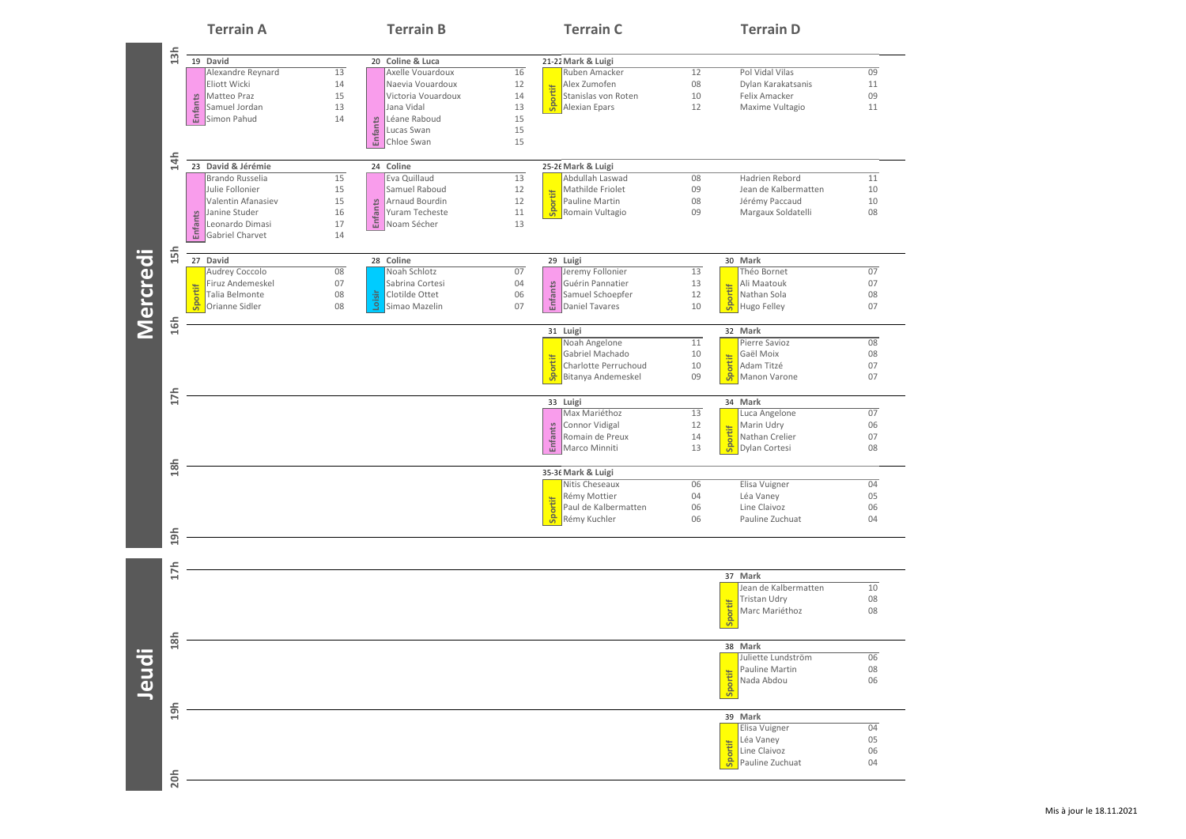